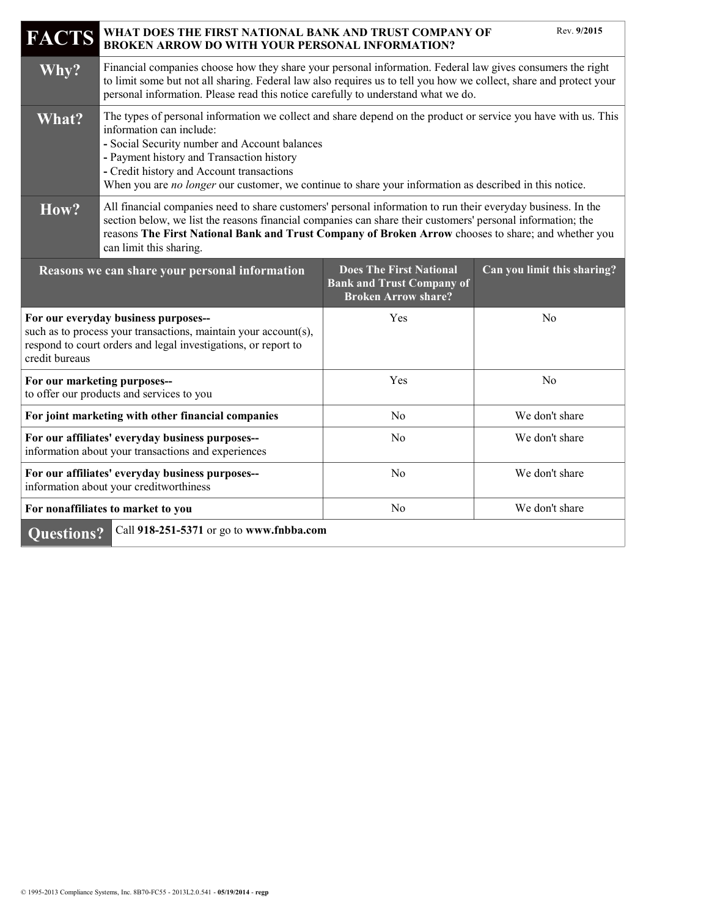| <b>FACTS</b>                                                                                                                                                                                | Rev. 9/2015<br>WHAT DOES THE FIRST NATIONAL BANK AND TRUST COMPANY OF<br><b>BROKEN ARROW DO WITH YOUR PERSONAL INFORMATION?</b>                                                                                                                                                                                                                                                                  |                                                                                                  |                             |  |
|---------------------------------------------------------------------------------------------------------------------------------------------------------------------------------------------|--------------------------------------------------------------------------------------------------------------------------------------------------------------------------------------------------------------------------------------------------------------------------------------------------------------------------------------------------------------------------------------------------|--------------------------------------------------------------------------------------------------|-----------------------------|--|
| $W$ hy?                                                                                                                                                                                     | Financial companies choose how they share your personal information. Federal law gives consumers the right<br>to limit some but not all sharing. Federal law also requires us to tell you how we collect, share and protect your<br>personal information. Please read this notice carefully to understand what we do.                                                                            |                                                                                                  |                             |  |
| What?                                                                                                                                                                                       | The types of personal information we collect and share depend on the product or service you have with us. This<br>information can include:<br>- Social Security number and Account balances<br>- Payment history and Transaction history<br>- Credit history and Account transactions<br>When you are no longer our customer, we continue to share your information as described in this notice. |                                                                                                  |                             |  |
| How?                                                                                                                                                                                        | All financial companies need to share customers' personal information to run their everyday business. In the<br>section below, we list the reasons financial companies can share their customers' personal information; the<br>reasons The First National Bank and Trust Company of Broken Arrow chooses to share; and whether you<br>can limit this sharing.                                    |                                                                                                  |                             |  |
|                                                                                                                                                                                             | Reasons we can share your personal information                                                                                                                                                                                                                                                                                                                                                   | <b>Does The First National</b><br><b>Bank and Trust Company of</b><br><b>Broken Arrow share?</b> | Can you limit this sharing? |  |
| For our everyday business purposes--<br>such as to process your transactions, maintain your account(s),<br>respond to court orders and legal investigations, or report to<br>credit bureaus |                                                                                                                                                                                                                                                                                                                                                                                                  | Yes                                                                                              | N <sub>0</sub>              |  |
|                                                                                                                                                                                             |                                                                                                                                                                                                                                                                                                                                                                                                  |                                                                                                  |                             |  |
| For our marketing purposes--                                                                                                                                                                | to offer our products and services to you                                                                                                                                                                                                                                                                                                                                                        | Yes                                                                                              | N <sub>o</sub>              |  |
|                                                                                                                                                                                             | For joint marketing with other financial companies                                                                                                                                                                                                                                                                                                                                               | No                                                                                               | We don't share              |  |
|                                                                                                                                                                                             | For our affiliates' everyday business purposes--<br>information about your transactions and experiences                                                                                                                                                                                                                                                                                          | N <sub>0</sub>                                                                                   | We don't share              |  |
|                                                                                                                                                                                             | For our affiliates' everyday business purposes--<br>information about your creditworthiness                                                                                                                                                                                                                                                                                                      | N <sub>o</sub>                                                                                   | We don't share              |  |
|                                                                                                                                                                                             | For nonaffiliates to market to you                                                                                                                                                                                                                                                                                                                                                               | N <sub>o</sub>                                                                                   | We don't share              |  |